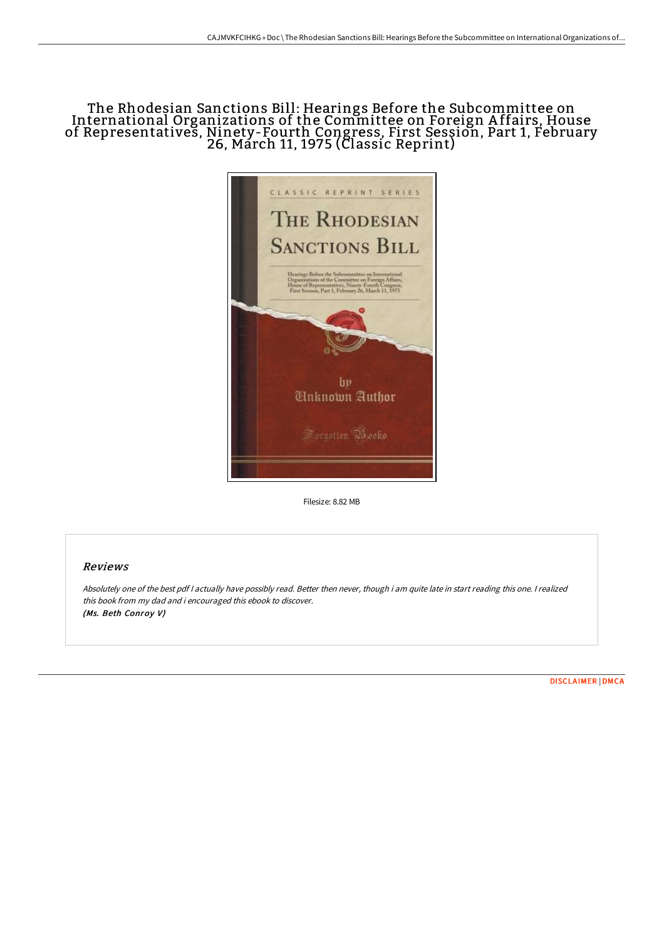# The Rhodesian Sanctions Bill: Hearings Before the Subcommittee on International Organizations of the Committee on Foreign A ffairs, House of Representatives, Ninety-Fourth Congress, First Session, Part 1, February 26, March 11, 1975 (Classic Reprint)



Filesize: 8.82 MB

## Reviews

Absolutely one of the best pdf <sup>I</sup> actually have possibly read. Better then never, though i am quite late in start reading this one. <sup>I</sup> realized this book from my dad and i encouraged this ebook to discover. (Ms. Beth Conroy V)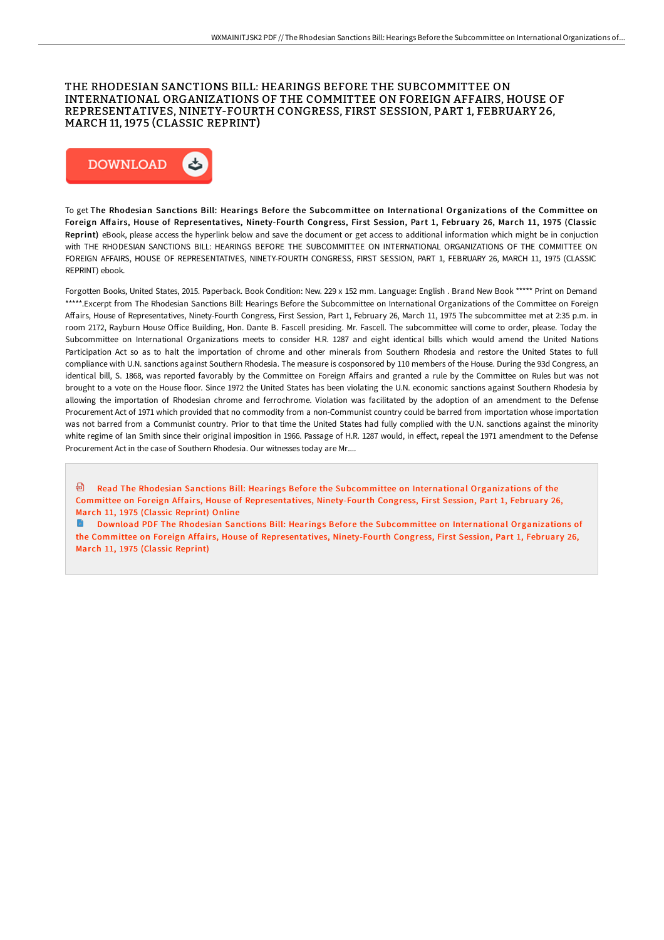### THE RHODESIAN SANCTIONS BILL: HEARINGS BEFORE THE SUBCOMMITTEE ON INTERNATIONAL ORGANIZATIONS OF THE COMMITTEE ON FOREIGN AFFAIRS, HOUSE OF REPRESENTATIVES, NINETY-FOURTH CONGRESS, FIRST SESSION, PART 1, FEBRUARY 26, MARCH 11, 1975 (CLASSIC REPRINT)



To get The Rhodesian Sanctions Bill: Hearings Before the Subcommittee on International Organizations of the Committee on Foreign Affairs, House of Representatives, Ninety-Fourth Congress, First Session, Part 1, February 26, March 11, 1975 (Classic Reprint) eBook, please access the hyperlink below and save the document or get access to additional information which might be in conjuction with THE RHODESIAN SANCTIONS BILL: HEARINGS BEFORE THE SUBCOMMITTEE ON INTERNATIONAL ORGANIZATIONS OF THE COMMITTEE ON FOREIGN AFFAIRS, HOUSE OF REPRESENTATIVES, NINETY-FOURTH CONGRESS, FIRST SESSION, PART 1, FEBRUARY 26, MARCH 11, 1975 (CLASSIC REPRINT) ebook.

Forgotten Books, United States, 2015. Paperback. Book Condition: New. 229 x 152 mm. Language: English . Brand New Book \*\*\*\*\* Print on Demand \*\*\*\*\*.Excerpt from The Rhodesian Sanctions Bill: Hearings Before the Subcommittee on International Organizations of the Committee on Foreign Affairs, House of Representatives, Ninety-Fourth Congress, First Session, Part 1, February 26, March 11, 1975 The subcommittee met at 2:35 p.m. in room 2172, Rayburn House Office Building, Hon. Dante B. Fascell presiding. Mr. Fascell. The subcommittee will come to order, please. Today the Subcommittee on International Organizations meets to consider H.R. 1287 and eight identical bills which would amend the United Nations Participation Act so as to halt the importation of chrome and other minerals from Southern Rhodesia and restore the United States to full compliance with U.N. sanctions against Southern Rhodesia. The measure is cosponsored by 110 members of the House. During the 93d Congress, an identical bill, S. 1868, was reported favorably by the Committee on Foreign Affairs and granted a rule by the Committee on Rules but was not brought to a vote on the House floor. Since 1972 the United States has been violating the U.N. economic sanctions against Southern Rhodesia by allowing the importation of Rhodesian chrome and ferrochrome. Violation was facilitated by the adoption of an amendment to the Defense Procurement Act of 1971 which provided that no commodity from a non-Communist country could be barred from importation whose importation was not barred from a Communist country. Prior to that time the United States had fully complied with the U.N. sanctions against the minority white regime of Ian Smith since their original imposition in 1966. Passage of H.R. 1287 would, in effect, repeal the 1971 amendment to the Defense Procurement Act in the case of Southern Rhodesia. Our witnesses today are Mr....

**H** Read The Rhodesian Sanctions Bill: Hearings Before the Subcommittee on International Organizations of the Committee on Foreign Affairs, House of [Representatives,](http://digilib.live/the-rhodesian-sanctions-bill-hearings-before-the.html) Ninety-Fourth Congress, First Session, Part 1, February 26, March 11, 1975 (Classic Reprint) Online

Download PDF The Rhodesian Sanctions Bill: Hearings Before the Subcommittee on International Organizations of the Committee on Foreign Affairs, House of [Representatives,](http://digilib.live/the-rhodesian-sanctions-bill-hearings-before-the.html) Ninety-Fourth Congress, First Session, Part 1, February 26, March 11, 1975 (Classic Reprint)